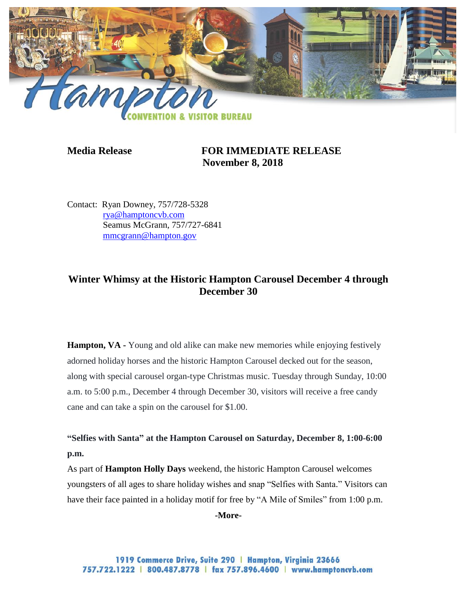

## **Media Release FOR IMMEDIATE RELEASE November 8, 2018**

Contact: Ryan Downey, 757/728-5328 [rya@hamptoncvb.com](mailto:rya@hamptoncvb.com) Seamus McGrann, 757/727-6841 [mmcgrann@hampton.gov](mailto:mmcgrann@hampton.gov)

# **Winter Whimsy at the Historic Hampton Carousel December 4 through December 30**

**Hampton, VA** - Young and old alike can make new memories while enjoying festively adorned holiday horses and the historic Hampton Carousel decked out for the season, along with special carousel organ-type Christmas music. Tuesday through Sunday, 10:00 a.m. to 5:00 p.m., December 4 through December 30, visitors will receive a free candy cane and can take a spin on the carousel for \$1.00.

**"Selfies with Santa" at the Hampton Carousel on Saturday, December 8, 1:00-6:00 p.m.**

As part of **Hampton Holly Days** weekend, the historic Hampton Carousel welcomes youngsters of all ages to share holiday wishes and snap "Selfies with Santa." Visitors can have their face painted in a holiday motif for free by "A Mile of Smiles" from 1:00 p.m.

**-More-**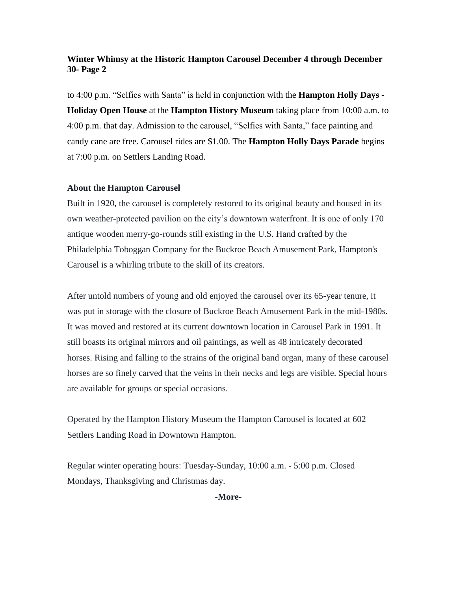#### **Winter Whimsy at the Historic Hampton Carousel December 4 through December 30- Page 2**

to 4:00 p.m. "Selfies with Santa" is held in conjunction with the **Hampton Holly Days - Holiday Open House** at the **Hampton History Museum** taking place from 10:00 a.m. to 4:00 p.m. that day. Admission to the carousel, "Selfies with Santa," face painting and candy cane are free. Carousel rides are \$1.00. The **Hampton Holly Days Parade** begins at 7:00 p.m. on Settlers Landing Road.

#### **About the Hampton Carousel**

Built in 1920, the carousel is completely restored to its original beauty and housed in its own weather-protected pavilion on the city's downtown waterfront. It is one of only 170 antique wooden merry-go-rounds still existing in the U.S. Hand crafted by the Philadelphia Toboggan Company for the Buckroe Beach Amusement Park, Hampton's Carousel is a whirling tribute to the skill of its creators.

After untold numbers of young and old enjoyed the carousel over its 65-year tenure, it was put in storage with the closure of Buckroe Beach Amusement Park in the mid-1980s. It was moved and restored at its current downtown location in Carousel Park in 1991. It still boasts its original mirrors and oil paintings, as well as 48 intricately decorated horses. Rising and falling to the strains of the original band organ, many of these carousel horses are so finely carved that the veins in their necks and legs are visible. Special hours are available for groups or special occasions.

Operated by the Hampton History Museum the Hampton Carousel is located at 602 Settlers Landing Road in Downtown Hampton.

Regular winter operating hours: Tuesday-Sunday, 10:00 a.m. - 5:00 p.m. Closed Mondays, Thanksgiving and Christmas day.

**-More-**